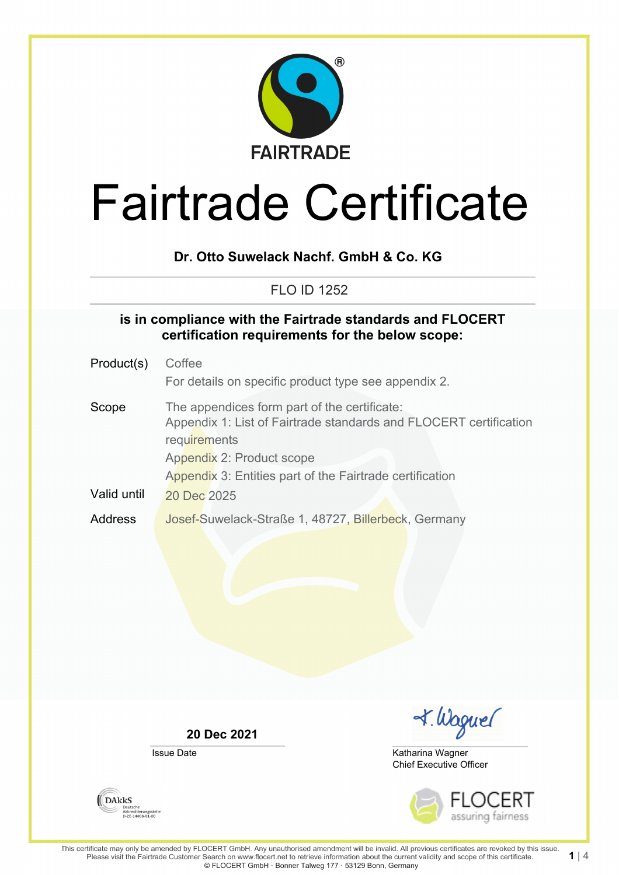

# **Dr. Otto Suwelack Nachf. GmbH & Co. KG**

FLO ID 1252

#### **is in compliance with the Fairtrade standards and FLOCERT certification requirements for the below scope:**

| Product(s)  | Coffee                                                                                                                                                                                                                     |
|-------------|----------------------------------------------------------------------------------------------------------------------------------------------------------------------------------------------------------------------------|
|             | For details on specific product type see appendix 2.                                                                                                                                                                       |
| Scope       | The appendices form part of the certificate:<br>Appendix 1: List of Fairtrade standards and FLOCERT certification<br>requirements<br>Appendix 2: Product scope<br>Appendix 3: Entities part of the Fairtrade certification |
| Valid until | 20 Dec 2025                                                                                                                                                                                                                |
| Address     | Josef-Suwelack-Straße 1, 48727, Billerbeck, Germany                                                                                                                                                                        |

**20 Dec 2021**

Issue Date

I. Waguel

Chief Executive Officer Katharina Wagner



**DAKKS** Deutsche<br>Akkreditierungsstelle<br>D-ZE-14408-01-00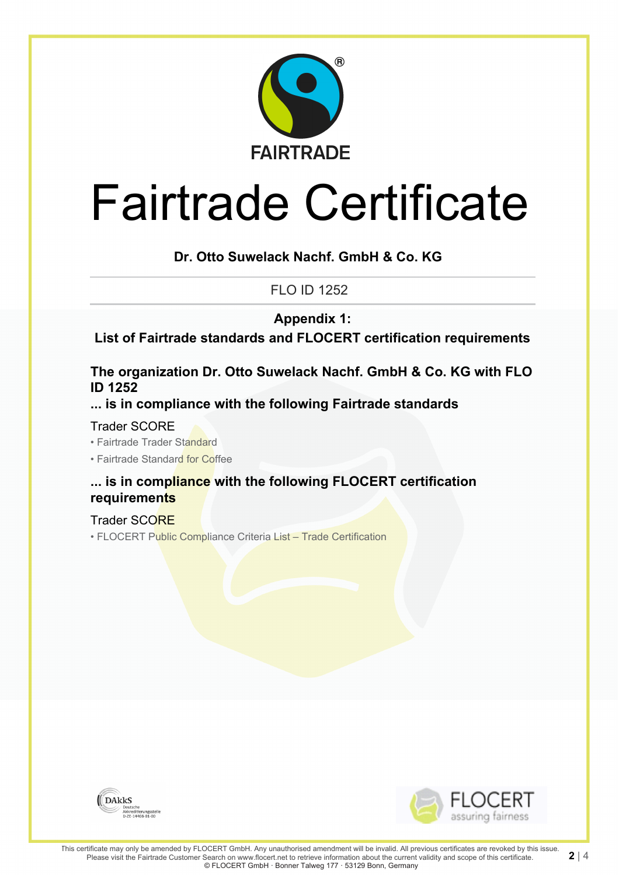

### **Dr. Otto Suwelack Nachf. GmbH & Co. KG**

FLO ID 1252

**Appendix 1:**

**List of Fairtrade standards and FLOCERT certification requirements**

#### **The organization Dr. Otto Suwelack Nachf. GmbH & Co. KG with FLO ID 1252**

**... is in compliance with the following Fairtrade standards**

Trader SCORE

• Fairtrade Trader Standard

• Fairtrade Standard for Coffee

### **... is in compliance with the following FLOCERT certification requirements**

Trader SCORE

• FLOCERT Public Compliance Criteria List – Trade Certification



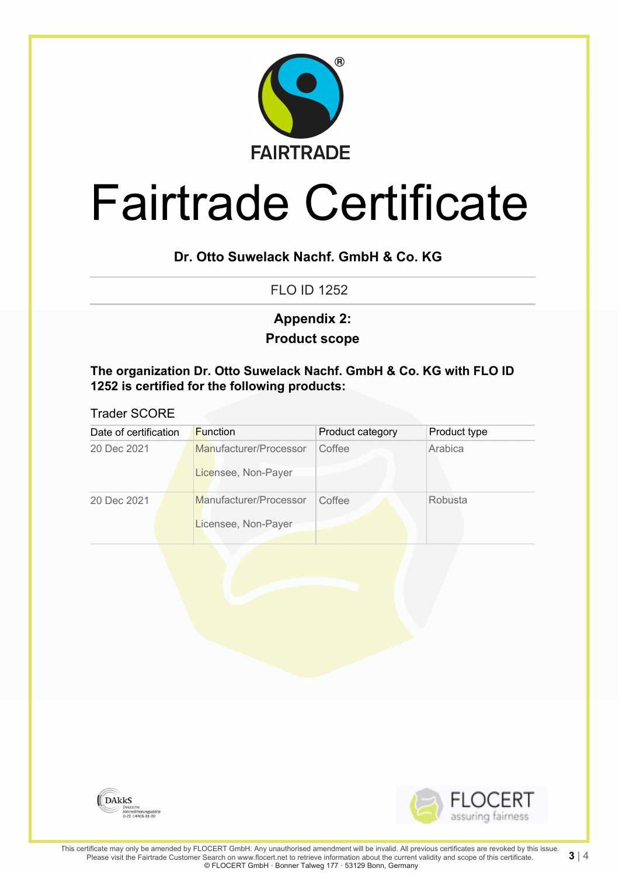

# **Dr. Otto Suwelack Nachf. GmbH & Co. KG**

FLO ID 1252

# **Product scope Appendix 2:**

**The organization Dr. Otto Suwelack Nachf. GmbH & Co. KG with FLO ID 1252 is certified for the following products:**

#### Trader SCORE

| Date of certification | <b>Function</b>                               | Product category | Product type |
|-----------------------|-----------------------------------------------|------------------|--------------|
| 20 Dec 2021           | Manufacturer/Processor<br>Licensee, Non-Payer | Coffee           | Arabica      |
| 20 Dec 2021           | Manufacturer/Processor<br>Licensee, Non-Payer | Coffee           | Robusta      |
|                       |                                               |                  |              |
|                       |                                               |                  |              |